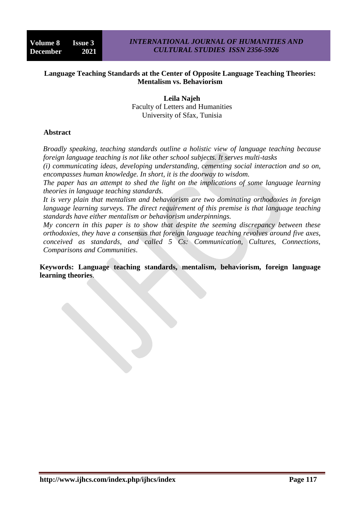### **Language Teaching Standards at the Center of Opposite Language Teaching Theories: Mentalism vs. Behaviorism**

**Leila Najeh** Faculty of Letters and Humanities University of Sfax, Tunisia

#### **Abstract**

*Broadly speaking, teaching standards outline a holistic view of language teaching because foreign language teaching is not like other school subjects. It serves multi-tasks*

*(i) communicating ideas, developing understanding, cementing social interaction and so on, encompasses human knowledge. In short, it is the doorway to wisdom.*

*The paper has an attempt to shed the light on the implications of some language learning theories in language teaching standards.*

*It is very plain that mentalism and behaviorism are two dominating orthodoxies in foreign language learning surveys. The direct requirement of this premise is that language teaching standards have either mentalism or behaviorism underpinnings.*

*My concern in this paper is to show that despite the seeming discrepancy between these orthodoxies, they have a consensus that foreign language teaching revolves around five axes, conceived as standards, and called 5 Cs: Communication, Cultures, Connections, Comparisons and Communities*.

**Keywords: Language teaching standards, mentalism, behaviorism, foreign language learning theories**.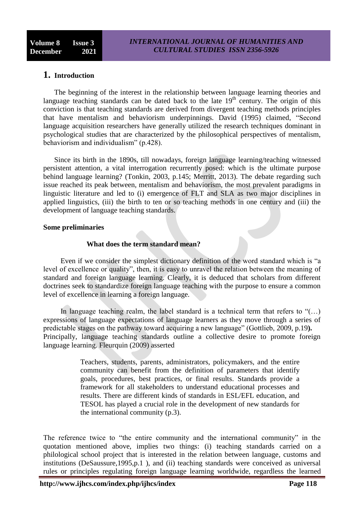# **1. Introduction**

The beginning of the interest in the relationship between language learning theories and language teaching standards can be dated back to the late  $19<sup>th</sup>$  century. The origin of this conviction is that teaching standards are derived from divergent teaching methods principles that have mentalism and behaviorism underpinnings. David (1995) claimed, "Second language acquisition researchers have generally utilized the research techniques dominant in psychological studies that are characterized by the philosophical perspectives of mentalism, behaviorism and individualism" (p.428).

Since its birth in the 1890s, till nowadays, foreign language learning/teaching witnessed persistent attention, a vital interrogation recurrently posed: which is the ultimate purpose behind language learning? (Tonkin, 2003, p.145; Merritt, 2013). The debate regarding such issue reached its peak between, mentalism and behaviorism, the most prevalent paradigms in linguistic literature and led to (i) emergence of FLT and SLA as two major disciplines in applied linguistics, (iii) the birth to ten or so teaching methods in one century and (iii) the development of language teaching standards.

#### **Some preliminaries**

### **What does the term standard mean?**

Even if we consider the simplest dictionary definition of the word standard which is "a level of excellence or quality", then, it is easy to unravel the relation between the meaning of standard and foreign language learning. Clearly, it is deduced that scholars from different doctrines seek to standardize foreign language teaching with the purpose to ensure a common level of excellence in learning a foreign language.

In language teaching realm, the label standard is a technical term that refers to  $\cdot$  (...) expressions of language expectations of language learners as they move through a series of predictable stages on the pathway toward acquiring a new language" (Gottlieb, 2009, p.19**).** Principally, language teaching standards outline a collective desire to promote foreign language learning. Fleurquin (2009) asserted

> Teachers, students, parents, administrators, policymakers, and the entire community can benefit from the definition of parameters that identify goals, procedures, best practices, or final results. Standards provide a framework for all stakeholders to understand educational processes and results. There are different kinds of standards in ESL/EFL education, and TESOL has played a crucial role in the development of new standards for the international community (p.3).

The reference twice to "the entire community and the international community" in the quotation mentioned above, implies two things: (i) teaching standards carried on a philological school project that is interested in the relation between language, customs and institutions (DeSaussure,1995,p.1 ), and (ii) teaching standards were conceived as universal rules or principles regulating foreign language learning worldwide, regardless the learned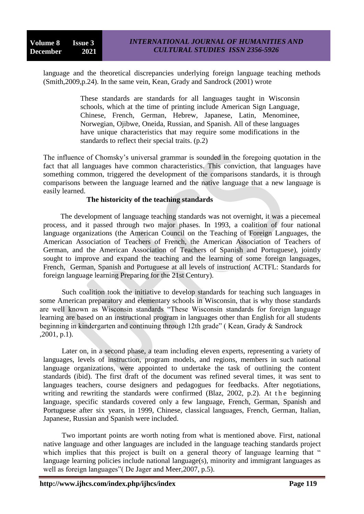language and the theoretical discrepancies underlying foreign language teaching methods (Smith,2009,p.24). In the same vein, Kean, Grady and Sandrock (2001) wrote

> These standards are standards for all languages taught in Wisconsin schools, which at the time of printing include American Sign Language, Chinese, French, German, Hebrew, Japanese, Latin, Menominee, Norwegian, Ojibwe, Oneida, Russian, and Spanish. All of these languages have unique characteristics that may require some modifications in the standards to reflect their special traits. (p.2)

The influence of Chomsky's universal grammar is sounded in the foregoing quotation in the fact that all languages have common characteristics. This conviction, that languages have something common, triggered the development of the comparisons standards, it is through comparisons between the language learned and the native language that a new language is easily learned.

#### **The historicity of the teaching standards**

The development of language teaching standards was not overnight, it was a piecemeal process, and it passed through two major phases. In 1993, a coalition of four national language organizations (the American Council on the Teaching of Foreign Languages, the American Association of Teachers of French, the American Association of Teachers of German, and the American Association of Teachers of Spanish and Portuguese), jointly sought to improve and expand the teaching and the learning of some foreign languages, French, German, Spanish and Portuguese at all levels of instruction( ACTFL: Standards for foreign language learning Preparing for the 21st Century).

Such coalition took the initiative to develop standards for teaching such languages in some American preparatory and elementary schools in Wisconsin, that is why those standards are well known as Wisconsin standards "These Wisconsin standards for foreign language learning are based on an instructional program in languages other than English for all students beginning in kindergarten and continuing through 12th grade" ( Kean, Grady & Sandrock ,2001, p.1).

Later on, in a second phase, a team including eleven experts, representing a variety of languages, levels of instruction, program models, and regions, members in such national language organizations, were appointed to undertake the task of outlining the content standards (ibid). The first draft of the document was refined several times, it was sent to languages teachers, course designers and pedagogues for feedbacks. After negotiations, writing and rewriting the standards were confirmed (Blaz, 2002, p.2). At the beginning language, specific standards covered only a few language, French, German, Spanish and Portuguese after six years, in 1999, Chinese, classical languages, French, German, Italian, Japanese, Russian and Spanish were included.

Two important points are worth noting from what is mentioned above. First, national native language and other languages are included in the language teaching standards project which implies that this project is built on a general theory of language learning that " language learning policies include national language(s), minority and immigrant languages as well as foreign languages"( De Jager and Meer,2007, p.5).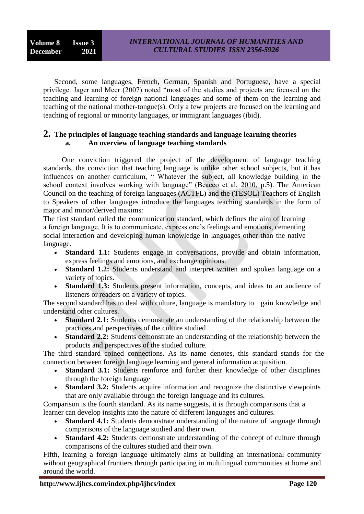Second, some languages, French, German, Spanish and Portuguese, have a special privilege. Jager and Meer (2007) noted "most of the studies and projects are focused on the teaching and learning of foreign national languages and some of them on the learning and teaching of the national mother-tongue(s). Only a few projects are focused on the learning and teaching of regional or minority languages, or immigrant languages (ibid).

## **2. The principles of language teaching standards and language learning theories a. An overview of language teaching standards**

One conviction triggered the project of the development of language teaching standards, the conviction that teaching language is unlike other school subjects, but it has influences on another curriculum, " Whatever the subject, all knowledge building in the school context involves working with language" (Beacco et al, 2010, p.5). The American Council on the teaching of foreign languages (ACTFL) and the (TESOL) Teachers of English to Speakers of other languages introduce the languages teaching standards in the form of major and minor/derived maxims:

The first standard called the communication standard, which defines the aim of learning a foreign language. It is to communicate, express one's feelings and emotions, cementing social interaction and developing human knowledge in languages other than the native language.

- **Standard 1.1:** Students engage in conversations, provide and obtain information, express feelings and emotions, and exchange opinions.
- **Standard 1.2:** Students understand and interpret written and spoken language on a variety of topics.
- **Standard 1.3:** Students present information, concepts, and ideas to an audience of listeners or readers on a variety of topics.

The second standard has to deal with culture, language is mandatory to gain knowledge and understand other cultures.

- **Standard 2.1:** Students demonstrate an understanding of the relationship between the practices and perspectives of the culture studied
- **Standard 2.2:** Students demonstrate an understanding of the relationship between the products and perspectives of the studied culture.

The third standard coined connections. As its name denotes, this standard stands for the connection between foreign language learning and general information acquisition.

- **Standard 3.1:** Students reinforce and further their knowledge of other disciplines through the foreign language
- **Standard 3.2:** Students acquire information and recognize the distinctive viewpoints that are only available through the foreign language and its cultures.

Comparison is the fourth standard. As its name suggests, it is through comparisons that a learner can develop insights into the nature of different languages and cultures.

- **Standard 4.1:** Students demonstrate understanding of the nature of language through comparisons of the language studied and their own.
- **Standard 4.2:** Students demonstrate understanding of the concept of culture through comparisons of the cultures studied and their own.

Fifth, learning a foreign language ultimately aims at building an international community without geographical frontiers through participating in multilingual communities at home and around the world.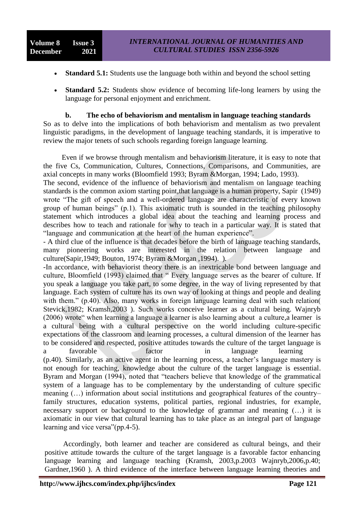- **Standard 5.1:** Students use the language both within and beyond the school setting
- **Standard 5.2:** Students show evidence of becoming life-long learners by using the language for personal enjoyment and enrichment.

#### **b. The echo of behaviorism and mentalism in language teaching standards**

So as to delve into the implications of both behaviorism and mentalism as two prevalent linguistic paradigms, in the development of language teaching standards, it is imperative to review the major tenets of such schools regarding foreign language learning.

Even if we browse through mentalism and behaviorism literature, it is easy to note that the five Cs, Communication, Cultures, Connections, Comparisons, and Communities, are axial concepts in many works (Bloomfield 1993; Byram &Morgan, 1994; Lado, 1993).

The second, evidence of the influence of behaviorism and mentalism on language teaching standards is the common axiom starting point,that language is a human property, Sapir (1949) wrote "The gift of speech and a well-ordered language are characteristic of every known group of human beings" (p.1). This axiomatic truth is sounded in the teaching philosophy statement which introduces a global idea about the teaching and learning process and describes how to teach and rationale for why to teach in a particular way. It is stated that "language and communication at the heart of the human experience".

- A third clue of the influence is that decades before the birth of language teaching standards, many pioneering works are interested in the relation between language and culture(Sapir,1949; Bouton, 1974; Byram &Morgan ,1994). ).

-In accordance, with behaviorist theory there is an inextricable bond between language and culture, Bloomfield (1993) claimed that " Every language serves as the bearer of culture. If you speak a language you take part, to some degree, in the way of living represented by that language. Each system of culture has its own way of looking at things and people and dealing with them." (p.40). Also, many works in foreign language learning deal with such relation( Stevick,1982; Kramsh,2003 ). Such works conceive learner as a cultural being. Wajnryb (2006) wrote" when learning a language a learner is also learning about a culture,a learner is a cultural being with a cultural perspective on the world including culture-specific expectations of the classroom and learning processes, a cultural dimension of the learner has to be considered and respected, positive attitudes towards the culture of the target language is a favorable factor in language learning

(p.40). Similarly, as an active agent in the learning process, a teacher's language mastery is not enough for teaching, knowledge about the culture of the target language is essential. Byram and Morgan (1994), noted that "teachers believe that knowledge of the grammatical system of a language has to be complementary by the understanding of culture specific meaning (…) information about social institutions and geographical features of the country– family structures, education systems, political parties, regional industries, for example, necessary support or background to the knowledge of grammar and meaning (…) it is axiomatic in our view that cultural learning has to take place as an integral part of language learning and vice versa"(pp.4-5).

Accordingly, both learner and teacher are considered as cultural beings, and their positive attitude towards the culture of the target language is a favorable factor enhancing language learning and language teaching (Kramsh, 2003,p.2003 Wajnryb,2006,p.40; Gardner,1960 ). A third evidence of the interface between language learning theories and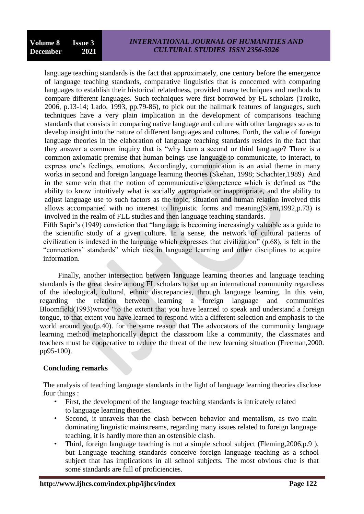language teaching standards is the fact that approximately, one century before the emergence of language teaching standards, comparative linguistics that is concerned with comparing languages to establish their historical relatedness, provided many techniques and methods to compare different languages. Such techniques were first borrowed by FL scholars (Troike, 2006, p.13-14; Lado, 1993, pp.79-86), to pick out the hallmark features of languages, such techniques have a very plain implication in the development of comparisons teaching standards that consists in comparing native language and culture with other languages so as to develop insight into the nature of different languages and cultures. Forth, the value of foreign language theories in the elaboration of language teaching standards resides in the fact that they answer a common inquiry that is "why learn a second or third language? There is a common axiomatic premise that human beings use language to communicate, to interact, to express one's feelings, emotions. Accordingly, communication is an axial theme in many works in second and foreign language learning theories (Skehan, 1998; Schachter,1989). And in the same vein that the notion of communicative competence which is defined as "the ability to know intuitively what is socially appropriate or inappropriate, and the ability to adjust language use to such factors as the topic, situation and human relation involved this allows accompanied with no interest to linguistic forms and meaning(Stern,1992,p.73) is involved in the realm of FLL studies and then language teaching standards.

Fifth Sapir's (1949) conviction that "language is becoming increasingly valuable as a guide to the scientific study of a given culture. In a sense, the network of cultural patterns of civilization is indexed in the language which expresses that civilization" (p.68), is felt in the "connections' standards" which ties in language learning and other disciplines to acquire information.

 Finally, another intersection between language learning theories and language teaching standards is the great desire among FL scholars to set up an international community regardless of the ideological, cultural, ethnic discrepancies, through language learning. In this vein, regarding the relation between learning a foreign language and communities Bloomfield(1993)wrote "to the extent that you have learned to speak and understand a foreign tongue, to that extent you have learned to respond with a different selection and emphasis to the world around you(p.40). for the same reason that The advocators of the community language learning method metaphorically depict the classroom like a community, the classmates and teachers must be cooperative to reduce the threat of the new learning situation (Freeman,2000. pp95-100).

### **Concluding remarks**

The analysis of teaching language standards in the light of language learning theories disclose four things :

- First, the development of the language teaching standards is intricately related to language learning theories.
- Second, it unravels that the clash between behavior and mentalism, as two main dominating linguistic mainstreams, regarding many issues related to foreign language teaching, it is hardly more than an ostensible clash.
- Third, foreign language teaching is not a simple school subject (Fleming, 2006, p.9), but Language teaching standards conceive foreign language teaching as a school subject that has implications in all school subjects. The most obvious clue is that some standards are full of proficiencies.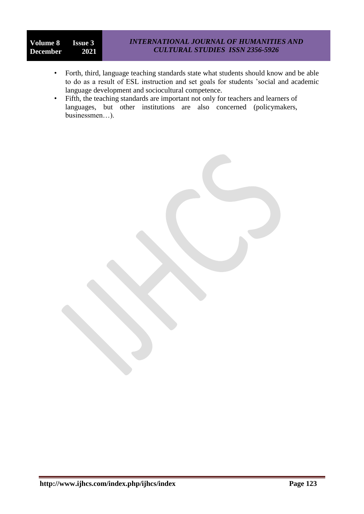# **Volume 8 Issue 3**<br>**December 2021 December**

- Forth, third, language teaching standards state what students should know and be able to do as a result of ESL instruction and set goals for students 'social and academic language development and sociocultural competence.
- Fifth, the teaching standards are important not only for teachers and learners of languages, but other institutions are also concerned (policymakers, businessmen…).

**http://www.ijhcs.com/index.php/ijhcs/index Page 123**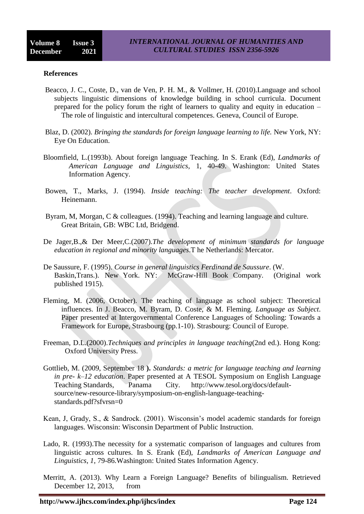#### **References**

- Beacco, J. C., Coste, D., van de Ven, P. H. M., & Vollmer, H. (2010).Language and school subjects linguistic dimensions of knowledge building in school curricula. Document prepared for the policy forum the right of learners to quality and equity in education – The role of linguistic and intercultural competences. Geneva, Council of Europe.
- Blaz, D. (2002). *Bringing the standards for foreign language learning to life.* New York, NY: Eye On Education.
- Bloomfield, L.(1993b). About foreign language Teaching. In S. Erank (Ed), *Landmarks of American Language and Linguistics*, 1, 40-49. Washington: United States Information Agency.
- Bowen, T., Marks, J. (1994). *Inside teaching: The teacher development*. Oxford: Heinemann.
- Byram, M, Morgan, C & colleagues. (1994). Teaching and learning language and culture. Great Britain, GB: WBC Ltd, Bridgend.
- De Jager,B.,& Der Meer,C.(2007).*The development of minimum standards for language education in regional and minority languages*.T he Netherlands: Mercator.
- De Saussure, F. (1995). *Course in general linguistics Ferdinand de Saussure*. (W. Baskin,Trans.). New York. NY: McGraw-Hill Book Company. (Original work published 1915).
- Fleming, M. (2006, October). The teaching of language as school subject: Theoretical influences. In J. Beacco, M. Byram, D. Coste, & M. Fleming. *Language as Subject*. Paper presented at Intergovernmental Conference Languages of Schooling: Towards a Framework for Europe, Strasbourg (pp.1-10). Strasbourg: Council of Europe.
- Freeman, D.L.(2000).*Techniques and principles in language teaching*(2nd ed.). Hong Kong: Oxford University Press.
- Gottlieb, M. (2009, September 18 **).** *Standards: a metric for language teaching and learning in pre- k–12 education*. Paper presented at A TESOL Symposium on English Language Teaching Standards, Panama City. http://www.tesol.org/docs/defaultsource/new-resource-library/symposium-on-english-language-teachingstandards.pdf?sfvrsn=0
- Kean, J, Grady, S., & Sandrock. (2001). Wisconsin's model academic standards for foreign languages. Wisconsin: Wisconsin Department of Public Instruction.
- Lado, R. (1993).The necessity for a systematic comparison of languages and cultures from linguistic across cultures. In S. Erank (Ed), *Landmarks of American Language and Linguistics*, *1*, 79-86.Washington: United States Information Agency.
- Merritt, A. (2013). Why Learn a Foreign Language? Benefits of bilingualism. Retrieved December 12, 2013, from